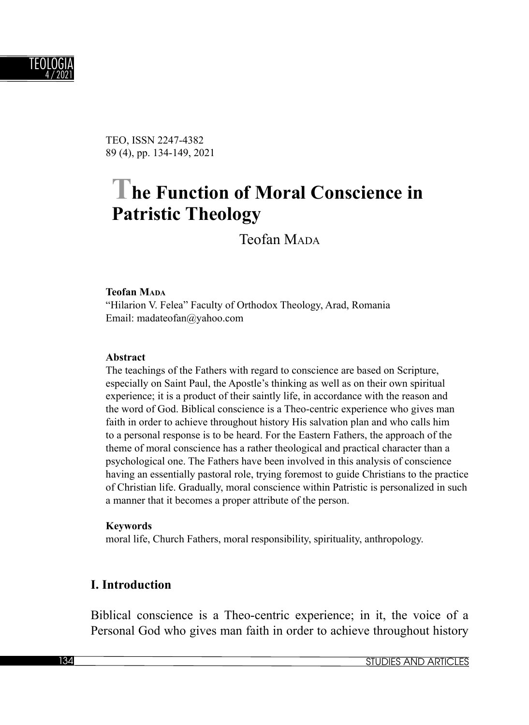

TEO, ISSN 2247-4382 89 (4), pp. 134-149, 2021

# **The Function of Moral Conscience in Patristic Theology**

Teofan MADA

#### **Teofan MADA**

"Hilarion V. Felea" Faculty of Orthodox Theology, Arad, Romania Email: madateofan@yahoo.com

#### **Abstract**

The teachings of the Fathers with regard to conscience are based on Scripture, especially on Saint Paul, the Apostle's thinking as well as on their own spiritual experience; it is a product of their saintly life, in accordance with the reason and the word of God. Biblical conscience is a Theo-centric experience who gives man faith in order to achieve throughout history His salvation plan and who calls him to a personal response is to be heard. For the Eastern Fathers, the approach of the theme of moral conscience has a rather theological and practical character than a psychological one. The Fathers have been involved in this analysis of conscience having an essentially pastoral role, trying foremost to guide Christians to the practice of Christian life. Gradually, moral conscience within Patristic is personalized in such a manner that it becomes a proper attribute of the person.

#### **Keywords**

moral life, Church Fathers, moral responsibility, spirituality, anthropology.

#### **I. Introduction**

Biblical conscience is a Theo-centric experience; in it, the voice of a Personal God who gives man faith in order to achieve throughout history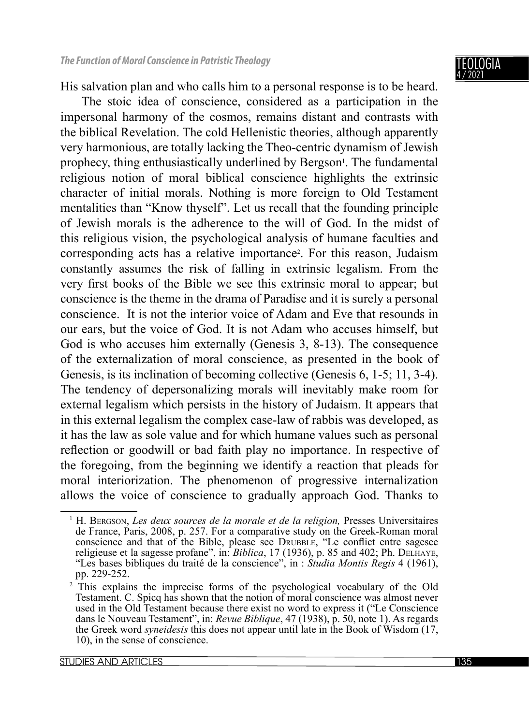His salvation plan and who calls him to a personal response is to be heard.

The stoic idea of conscience, considered as a participation in the impersonal harmony of the cosmos, remains distant and contrasts with the biblical Revelation. The cold Hellenistic theories, although apparently very harmonious, are totally lacking the Theo-centric dynamism of Jewish prophecy, thing enthusiastically underlined by Bergson<sup>1</sup>. The fundamental religious notion of moral biblical conscience highlights the extrinsic character of initial morals. Nothing is more foreign to Old Testament mentalities than "Know thyself". Let us recall that the founding principle of Jewish morals is the adherence to the will of God. In the midst of this religious vision, the psychological analysis of humane faculties and corresponding acts has a relative importance<sup>2</sup>. For this reason, Judaism constantly assumes the risk of falling in extrinsic legalism. From the very first books of the Bible we see this extrinsic moral to appear; but conscience is the theme in the drama of Paradise and it is surely a personal conscience. It is not the interior voice of Adam and Eve that resounds in our ears, but the voice of God. It is not Adam who accuses himself, but God is who accuses him externally (Genesis 3, 8-13). The consequence of the externalization of moral conscience, as presented in the book of Genesis, is its inclination of becoming collective (Genesis 6, 1-5; 11, 3-4). The tendency of depersonalizing morals will inevitably make room for external legalism which persists in the history of Judaism. It appears that in this external legalism the complex case-law of rabbis was developed, as it has the law as sole value and for which humane values such as personal reflection or goodwill or bad faith play no importance. In respective of the foregoing, from the beginning we identify a reaction that pleads for moral interiorization. The phenomenon of progressive internalization allows the voice of conscience to gradually approach God. Thanks to

<sup>1</sup> H. BERGSON, *Les deux sources de la morale et de la religion,* Presses Universitaires de France, Paris, 2008, p. 257. For a comparative study on the Greek-Roman moral conscience and that of the Bible, please see DRUBBLE, "Le conflict entre sagesee religieuse et la sagesse profane", in: *Biblica*, 17 (1936), p. 85 and 402; Ph. DELHAYE, "Les bases bibliques du traité de la conscience", in : *Studia Montis Regis* 4 (1961), pp. 229-252.

<sup>2</sup> This explains the imprecise forms of the psychological vocabulary of the Old Testament. C. Spicq has shown that the notion of moral conscience was almost never used in the Old Testament because there exist no word to express it ("Le Conscience dans le Nouveau Testament", in: *Revue Biblique*, 47 (1938), p. 50, note 1). As regards the Greek word *syneidesis* this does not appear until late in the Book of Wisdom (17, 10), in the sense of conscience.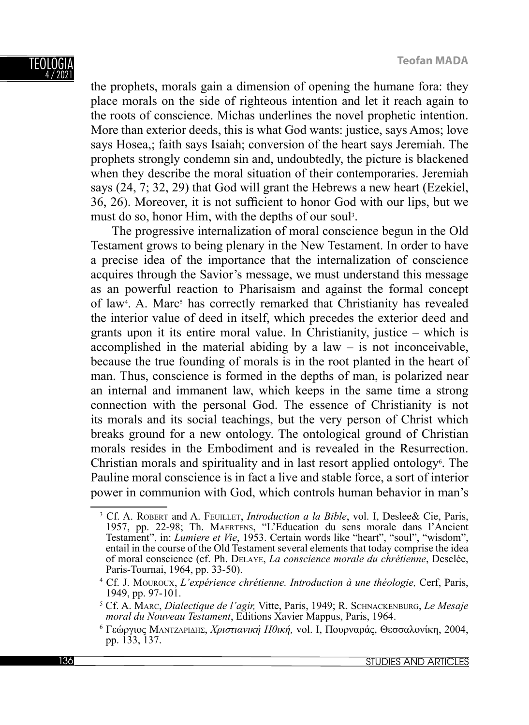#### TEOLOGI. 4 / 2021

the prophets, morals gain a dimension of opening the humane fora: they place morals on the side of righteous intention and let it reach again to the roots of conscience. Michas underlines the novel prophetic intention. More than exterior deeds, this is what God wants: justice, says Amos; love says Hosea,; faith says Isaiah; conversion of the heart says Jeremiah. The prophets strongly condemn sin and, undoubtedly, the picture is blackened when they describe the moral situation of their contemporaries. Jeremiah says (24, 7; 32, 29) that God will grant the Hebrews a new heart (Ezekiel, 36, 26). Moreover, it is not sufficient to honor God with our lips, but we must do so, honor Him, with the depths of our soul<sup>3</sup>.

The progressive internalization of moral conscience begun in the Old Testament grows to being plenary in the New Testament. In order to have a precise idea of the importance that the internalization of conscience acquires through the Savior's message, we must understand this message as an powerful reaction to Pharisaism and against the formal concept of law<sup>4</sup>. A. Marc<sup>5</sup> has correctly remarked that Christianity has revealed the interior value of deed in itself, which precedes the exterior deed and grants upon it its entire moral value. In Christianity, justice – which is accomplished in the material abiding by a law  $-$  is not inconceivable, because the true founding of morals is in the root planted in the heart of man. Thus, conscience is formed in the depths of man, is polarized near an internal and immanent law, which keeps in the same time a strong connection with the personal God. The essence of Christianity is not its morals and its social teachings, but the very person of Christ which breaks ground for a new ontology. The ontological ground of Christian morals resides in the Embodiment and is revealed in the Resurrection. Christian morals and spirituality and in last resort applied ontology<sup>6</sup>. The Pauline moral conscience is in fact a live and stable force, a sort of interior power in communion with God, which controls human behavior in man's

<sup>3</sup> Cf. A. ROBERT and A. FEUILLET, *Introduction a la Bible*, vol. I, Deslee& Cie, Paris, 1957, pp. 22-98; Th. MAERTENS, "L'Education du sens morale dans l'Ancient Testament", in: *Lumiere et Vie*, 1953. Certain words like "heart", "soul", "wisdom", entail in the course of the Old Testament several elements that today comprise the idea of moral conscience (cf. Ph. DELAYE, *La conscience morale du chrétienne*, Desclée, Paris-Tournai, 1964, pp. 33-50).

<sup>4</sup> Cf. J. MOUROUX, *L'expérience chrétienne. Introduction à une théologie,* Cerf, Paris, 1949, pp. 97-101.

<sup>5</sup> Cf. A. MARC, *Dialectique de l'agir,* Vitte, Paris, 1949; R. SCHNACKENBURG, *Le Mesaje moral du Nouveau Testament*, Editions Xavier Mappus, Paris, 1964.

<sup>6</sup> Γεώργιος ΜΑΝΤΖΑΡΙΔΗΣ, *Χριστιανική Ηθική,* vol. I, Πουρναράς, Θεσσαλονίκη, 2004, pp. 133, 137.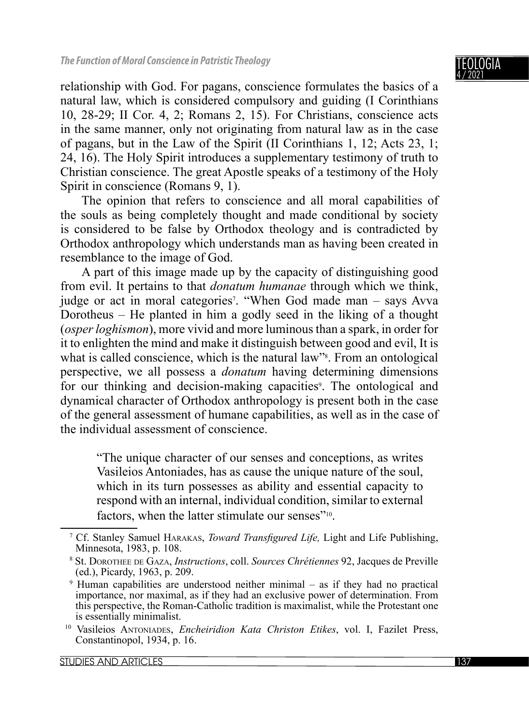TEOLOGIA 4 / 2021

relationship with God. For pagans, conscience formulates the basics of a natural law, which is considered compulsory and guiding (I Corinthians 10, 28-29; II Cor. 4, 2; Romans 2, 15). For Christians, conscience acts in the same manner, only not originating from natural law as in the case of pagans, but in the Law of the Spirit (II Corinthians 1, 12; Acts 23, 1; 24, 16). The Holy Spirit introduces a supplementary testimony of truth to Christian conscience. The great Apostle speaks of a testimony of the Holy Spirit in conscience (Romans 9, 1).

The opinion that refers to conscience and all moral capabilities of the souls as being completely thought and made conditional by society is considered to be false by Orthodox theology and is contradicted by Orthodox anthropology which understands man as having been created in resemblance to the image of God.

A part of this image made up by the capacity of distinguishing good from evil. It pertains to that *donatum humanae* through which we think, judge or act in moral categories<sup>7</sup>. "When God made man – says Avva Dorotheus – He planted in him a godly seed in the liking of a thought (*osper loghismon*), more vivid and more luminous than a spark, in order for it to enlighten the mind and make it distinguish between good and evil, It is what is called conscience, which is the natural law"<sup>8</sup>. From an ontological perspective, we all possess a *donatum* having determining dimensions for our thinking and decision-making capacities<sup>9</sup>. The ontological and dynamical character of Orthodox anthropology is present both in the case of the general assessment of humane capabilities, as well as in the case of the individual assessment of conscience.

"The unique character of our senses and conceptions, as writes Vasileios Antoniades, has as cause the unique nature of the soul, which in its turn possesses as ability and essential capacity to respond with an internal, individual condition, similar to external factors, when the latter stimulate our senses"<sup>10</sup>.

<sup>&</sup>lt;sup>7</sup> Cf. Stanley Samuel HARAKAS, *Toward Transfigured Life*, Light and Life Publishing, Minnesota, 1983, p. 108.

<sup>8</sup> St. DOROTHEE DE GAZA, *Instructions*, coll. *Sources Chrétiennes* 92, Jacques de Preville (ed.), Picardy, 1963, p. 209.

<sup>9</sup> Human capabilities are understood neither minimal – as if they had no practical importance, nor maximal, as if they had an exclusive power of determination. From this perspective, the Roman-Catholic tradition is maximalist, while the Protestant one is essentially minimalist.

<sup>10</sup> Vasileios ANTONIADES, *Encheiridion Kata Christon Etikes*, vol. I, Fazilet Press, Constantinopol, 1934, p. 16.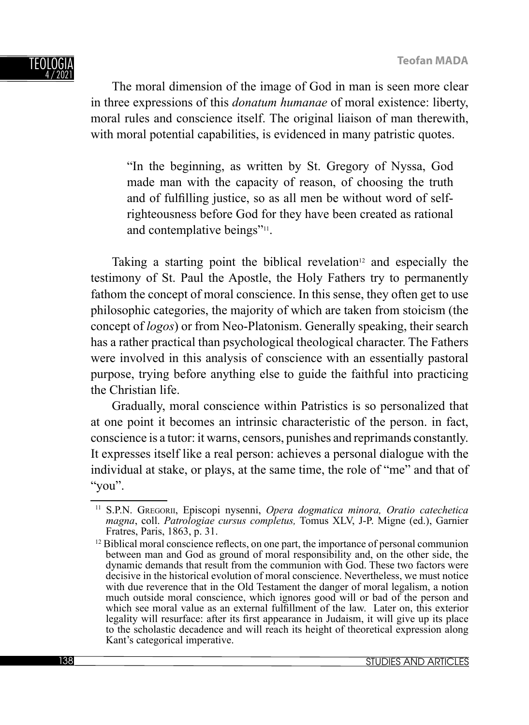The moral dimension of the image of God in man is seen more clear in three expressions of this *donatum humanae* of moral existence: liberty, moral rules and conscience itself. The original liaison of man therewith, with moral potential capabilities, is evidenced in many patristic quotes.

"In the beginning, as written by St. Gregory of Nyssa, God made man with the capacity of reason, of choosing the truth and of fulfilling justice, so as all men be without word of selfrighteousness before God for they have been created as rational and contemplative beings"<sup>11</sup>.

Taking a starting point the biblical revelation<sup>12</sup> and especially the testimony of St. Paul the Apostle, the Holy Fathers try to permanently fathom the concept of moral conscience. In this sense, they often get to use philosophic categories, the majority of which are taken from stoicism (the concept of *logos*) or from Neo-Platonism. Generally speaking, their search has a rather practical than psychological theological character. The Fathers were involved in this analysis of conscience with an essentially pastoral purpose, trying before anything else to guide the faithful into practicing the Christian life.

Gradually, moral conscience within Patristics is so personalized that at one point it becomes an intrinsic characteristic of the person. in fact, conscience is a tutor: it warns, censors, punishes and reprimands constantly. It expresses itself like a real person: achieves a personal dialogue with the individual at stake, or plays, at the same time, the role of "me" and that of "you".

<sup>11</sup> S.P.N. GREGORII, Episcopi nysenni, *Opera dogmatica minora, Oratio catechetica magna*, coll. *Patrologiae cursus completus,* Tomus XLV, J-P. Migne (ed.), Garnier Fratres, Paris, 1863, p. 31.

 $12$  Biblical moral conscience reflects, on one part, the importance of personal communion between man and God as ground of moral responsibility and, on the other side, the dynamic demands that result from the communion with God. These two factors were decisive in the historical evolution of moral conscience. Nevertheless, we must notice with due reverence that in the Old Testament the danger of moral legalism, a notion much outside moral conscience, which ignores good will or bad of the person and which see moral value as an external fulfillment of the law. Later on, this exterior legality will resurface: after its first appearance in Judaism, it will give up its place to the scholastic decadence and will reach its height of theoretical expression along Kant's categorical imperative.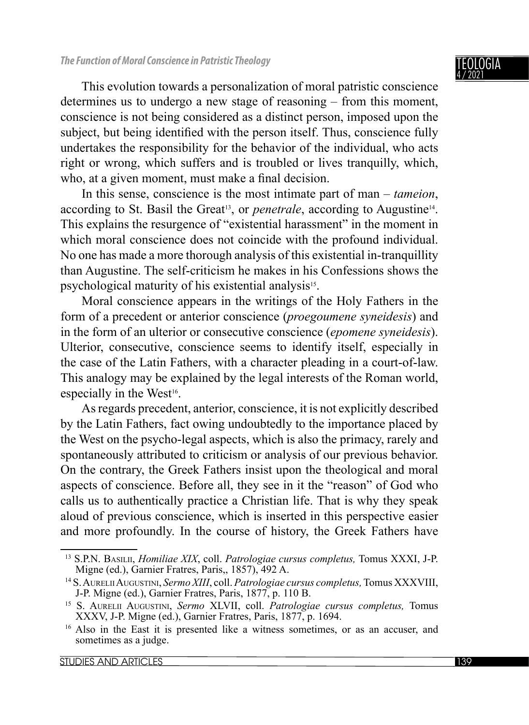This evolution towards a personalization of moral patristic conscience determines us to undergo a new stage of reasoning – from this moment, conscience is not being considered as a distinct person, imposed upon the subject, but being identified with the person itself. Thus, conscience fully undertakes the responsibility for the behavior of the individual, who acts right or wrong, which suffers and is troubled or lives tranquilly, which, who, at a given moment, must make a final decision.

In this sense, conscience is the most intimate part of man – *tameion*, according to St. Basil the Great<sup>13</sup>, or *penetrale*, according to Augustine<sup>14</sup>. This explains the resurgence of "existential harassment" in the moment in which moral conscience does not coincide with the profound individual. No one has made a more thorough analysis of this existential in-tranquillity than Augustine. The self-criticism he makes in his Confessions shows the psychological maturity of his existential analysis<sup>15</sup>.

Moral conscience appears in the writings of the Holy Fathers in the form of a precedent or anterior conscience (*proegoumene syneidesis*) and in the form of an ulterior or consecutive conscience (*epomene syneidesis*). Ulterior, consecutive, conscience seems to identify itself, especially in the case of the Latin Fathers, with a character pleading in a court-of-law. This analogy may be explained by the legal interests of the Roman world, especially in the West<sup>16</sup>.

As regards precedent, anterior, conscience, it is not explicitly described by the Latin Fathers, fact owing undoubtedly to the importance placed by the West on the psycho-legal aspects, which is also the primacy, rarely and spontaneously attributed to criticism or analysis of our previous behavior. On the contrary, the Greek Fathers insist upon the theological and moral aspects of conscience. Before all, they see in it the "reason" of God who calls us to authentically practice a Christian life. That is why they speak aloud of previous conscience, which is inserted in this perspective easier and more profoundly. In the course of history, the Greek Fathers have

<sup>13</sup> S.P.N. BASILII, *Homiliae XIX*, coll. *Patrologiae cursus completus,* Tomus XXXI, J-P. Migne (ed.), Garnier Fratres, Paris,, 1857), 492 A.

<sup>14</sup> S. AURELII AUGUSTINI, *Sermo XIII*, coll. *Patrologiae cursus completus,* Tomus XXXVIII, J-P. Migne (ed.), Garnier Fratres, Paris, 1877, p. 110 B.

<sup>15</sup> S. AURELII AUGUSTINI, *Sermo* XLVII, coll. *Patrologiae cursus completus,* Tomus XXXV, J-P. Migne (ed.), Garnier Fratres, Paris, 1877, p. 1694.

<sup>&</sup>lt;sup>16</sup> Also in the East it is presented like a witness sometimes, or as an accuser, and sometimes as a judge.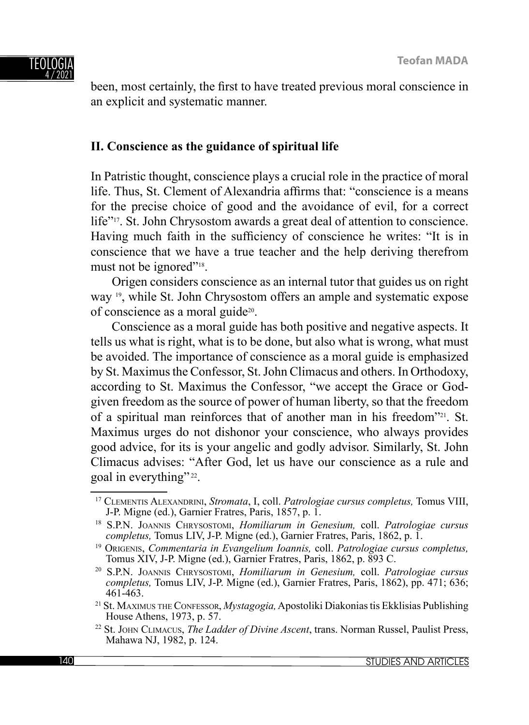

been, most certainly, the first to have treated previous moral conscience in an explicit and systematic manner.

## **II. Conscience as the guidance of spiritual life**

In Patristic thought, conscience plays a crucial role in the practice of moral life. Thus, St. Clement of Alexandria affirms that: "conscience is a means" for the precise choice of good and the avoidance of evil, for a correct life"<sup>17</sup>. St. John Chrysostom awards a great deal of attention to conscience. Having much faith in the sufficiency of conscience he writes: "It is in conscience that we have a true teacher and the help deriving therefrom must not be ignored"<sup>18</sup>.

Origen considers conscience as an internal tutor that guides us on right way <sup>19</sup>, while St. John Chrysostom offers an ample and systematic expose of conscience as a moral guide20.

Conscience as a moral guide has both positive and negative aspects. It tells us what is right, what is to be done, but also what is wrong, what must be avoided. The importance of conscience as a moral guide is emphasized by St. Maximus the Confessor, St. John Climacus and others. In Orthodoxy, according to St. Maximus the Confessor, "we accept the Grace or Godgiven freedom as the source of power of human liberty, so that the freedom of a spiritual man reinforces that of another man in his freedom"21. St. Maximus urges do not dishonor your conscience, who always provides good advice, for its is your angelic and godly advisor. Similarly, St. John Climacus advises: "After God, let us have our conscience as a rule and goal in everything" 22.

<sup>17</sup> CLEMENTIS ALEXANDRINI, *Stromata*, I, coll. *Patrologiae cursus completus,* Tomus VIII, J-P. Migne (ed.), Garnier Fratres, Paris, 1857, p. 1.

<sup>18</sup> S.P.N. JOANNIS CHRYSOSTOMI, *Homiliarum in Genesium,* coll. *Patrologiae cursus* 

<sup>&</sup>lt;sup>19</sup> ORIGENIS, Commentaria in Evangelium Ioannis, coll. Patrologiae cursus completus, Tomus XIV, J-P. Migne (ed.), Garnier Fratres, Paris, 1862, p. 893 C.

<sup>20</sup> S.P.N. JOANNIS CHRYSOSTOMI, *Homiliarum in Genesium,* coll. *Patrologiae cursus completus,* Tomus LIV, J-P. Migne (ed.), Garnier Fratres, Paris, 1862), pp. 471; 636; 461-463.

<sup>21</sup> St. MAXIMUS THE CONFESSOR, *Mystagogia,* Apostoliki Diakonias tis Ekklisias Publishing House Athens, 1973, p. 57.

<sup>22</sup> St. JOHN CLIMACUS, *The Ladder οf Divine Ascent*, trans. Norman Russel, Paulist Press, Mahawa NJ, 1982, p. 124.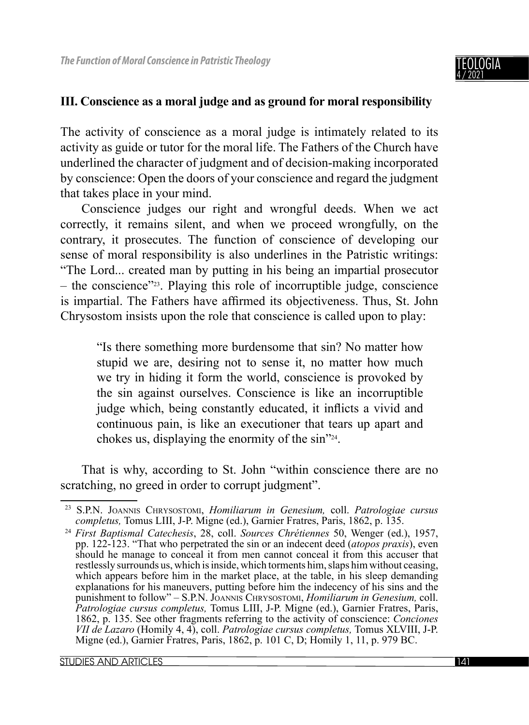### **III. Conscience as a moral judge and as ground for moral responsibility**

The activity of conscience as a moral judge is intimately related to its activity as guide or tutor for the moral life. The Fathers of the Church have underlined the character of judgment and of decision-making incorporated by conscience: Open the doors of your conscience and regard the judgment that takes place in your mind.

Conscience judges our right and wrongful deeds. When we act correctly, it remains silent, and when we proceed wrongfully, on the contrary, it prosecutes. The function of conscience of developing our sense of moral responsibility is also underlines in the Patristic writings: "The Lord... created man by putting in his being an impartial prosecutor  $-$  the conscience"<sup>23</sup>. Playing this role of incorruptible judge, conscience is impartial. The Fathers have affirmed its objectiveness. Thus, St. John Chrysostom insists upon the role that conscience is called upon to play:

"Is there something more burdensome that sin? No matter how stupid we are, desiring not to sense it, no matter how much we try in hiding it form the world, conscience is provoked by the sin against ourselves. Conscience is like an incorruptible judge which, being constantly educated, it inflicts a vivid and continuous pain, is like an executioner that tears up apart and chokes us, displaying the enormity of the sin"24.

That is why, according to St. John "within conscience there are no scratching, no greed in order to corrupt judgment".

<sup>23</sup> S.P.N. JOANNIS CHRYSOSTOMI, *Homiliarum in Genesium,* coll. *Patrologiae cursus completus,* Tomus LIII, J-P. Migne (ed.), Garnier Fratres, Paris, 1862, p. 135.

<sup>24</sup> *First Baptismal Catechesis*, 28, coll. *Sources Chrétiennes* 50, Wenger (ed.), 1957, pp. 122-123. "That who perpetrated the sin or an indecent deed (*atopos praxis*), even should he manage to conceal it from men cannot conceal it from this accuser that restlessly surrounds us, which is inside, which torments him, slaps him without ceasing, which appears before him in the market place, at the table, in his sleep demanding explanations for his maneuvers, putting before him the indecency of his sins and the punishment to follow" – S.P.N. JOANNIS CHRYSOSTOMI, *Homiliarum in Genesium,* coll. *Patrologiae cursus completus,* Tomus LIII, J-P. Migne (ed.), Garnier Fratres, Paris, 1862, p. 135. See other fragments referring to the activity of conscience: *Conciones VII de Lazaro* (Homily 4, 4), coll. *Patrologiae cursus completus,* Tomus XLVIII, J-P. Migne (ed.), Garnier Fratres, Paris, 1862, p. 101 C, D; Homily 1, 11, p. 979 BC.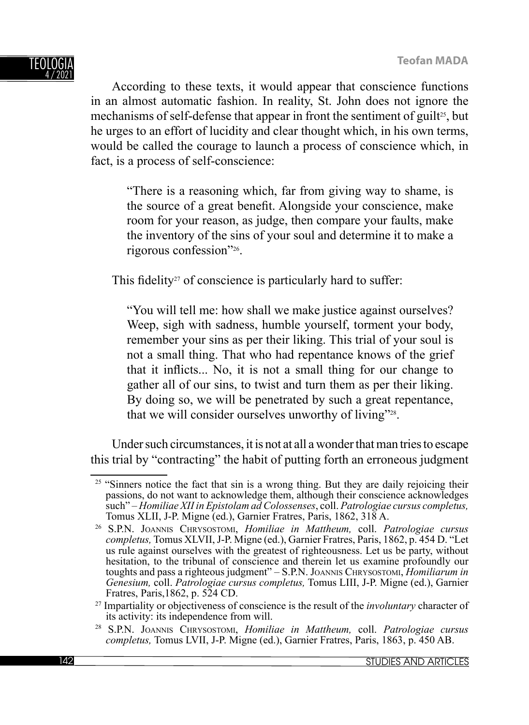According to these texts, it would appear that conscience functions in an almost automatic fashion. In reality, St. John does not ignore the mechanisms of self-defense that appear in front the sentiment of guilt<sup>25</sup>, but he urges to an effort of lucidity and clear thought which, in his own terms, would be called the courage to launch a process of conscience which, in fact, is a process of self-conscience:

"There is a reasoning which, far from giving way to shame, is the source of a great benefit. Alongside your conscience, make room for your reason, as judge, then compare your faults, make the inventory of the sins of your soul and determine it to make a rigorous confession"26.

This fidelity<sup>27</sup> of conscience is particularly hard to suffer:

"You will tell me: how shall we make justice against ourselves? Weep, sigh with sadness, humble yourself, torment your body, remember your sins as per their liking. This trial of your soul is not a small thing. That who had repentance knows of the grief that it inflicts... No, it is not a small thing for our change to gather all of our sins, to twist and turn them as per their liking. By doing so, we will be penetrated by such a great repentance, that we will consider ourselves unworthy of living"<sup>28</sup>.

Under such circumstances, it is not at all a wonder that man tries to escape this trial by "contracting" the habit of putting forth an erroneous judgment

<sup>&</sup>lt;sup>25</sup> "Sinners notice the fact that sin is a wrong thing. But they are daily rejoicing their passions, do not want to acknowledge them, although their conscience acknowledges such" – *Homiliae XII in Epistolam ad Colossenses*, coll. *Patrologiae cursus completus,* Tomus XLII, J-P. Migne (ed.), Garnier Fratres, Paris, 1862, 318 A.

<sup>26</sup> S.P.N. JOANNIS CHRYSOSTOMI, *Homiliae in Mattheum,* coll. *Patrologiae cursus completus,* Tomus XLVII, J-P. Migne (ed.), Garnier Fratres, Paris, 1862, p. 454 D. "Let us rule against ourselves with the greatest of righteousness. Let us be party, without hesitation, to the tribunal of conscience and therein let us examine profoundly our toughts and pass a righteous judgment" – S.P.N. JOANNIS CHRYSOSTOMI, *Homiliarum in Genesium,* coll. *Patrologiae cursus completus,* Tomus LIII, J-P. Migne (ed.), Garnier

<sup>&</sup>lt;sup>27</sup> Impartiality or objectiveness of conscience is the result of the *involuntary* character of its activity: its independence from will.

<sup>28</sup> S.P.N. JOANNIS CHRYSOSTOMI, *Homiliae in Mattheum,* coll. *Patrologiae cursus completus,* Tomus LVII, J-P. Migne (ed.), Garnier Fratres, Paris, 1863, p. 450 AB.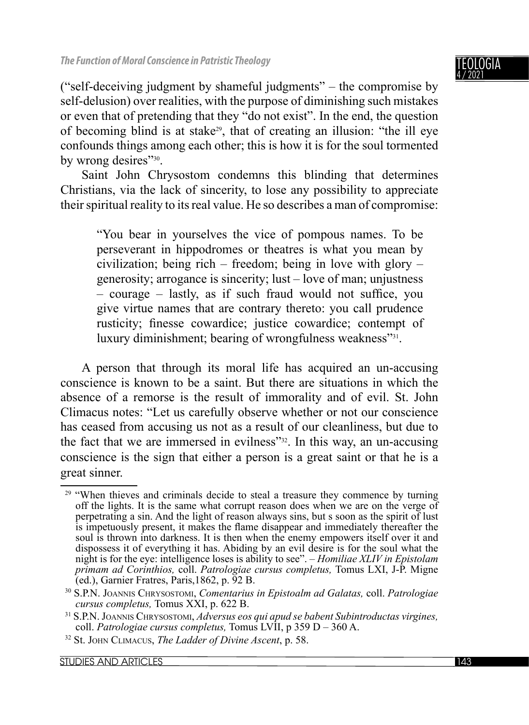4 / 2021 ("self-deceiving judgment by shameful judgments" – the compromise by self-delusion) over realities, with the purpose of diminishing such mistakes or even that of pretending that they "do not exist". In the end, the question

of becoming blind is at stake29, that of creating an illusion: "the ill eye confounds things among each other; this is how it is for the soul tormented by wrong desires"<sup>30</sup>.

Saint John Chrysostom condemns this blinding that determines Christians, via the lack of sincerity, to lose any possibility to appreciate their spiritual reality to its real value. He so describes a man of compromise:

"You bear in yourselves the vice of pompous names. To be perseverant in hippodromes or theatres is what you mean by civilization; being rich – freedom; being in love with glory – generosity; arrogance is sincerity; lust – love of man; unjustness  $-$  courage  $-$  lastly, as if such fraud would not suffice, you give virtue names that are contrary thereto: you call prudence rusticity; finesse cowardice; justice cowardice; contempt of luxury diminishment; bearing of wrongfulness weakness"<sup>31</sup>.

A person that through its moral life has acquired an un-accusing conscience is known to be a saint. But there are situations in which the absence of a remorse is the result of immorality and of evil. St. John Climacus notes: "Let us carefully observe whether or not our conscience has ceased from accusing us not as a result of our cleanliness, but due to the fact that we are immersed in evilness"32. In this way, an un-accusing conscience is the sign that either a person is a great saint or that he is a great sinner.

TEOLOGIA

 $29$  "When thieves and criminals decide to steal a treasure they commence by turning off the lights. It is the same what corrupt reason does when we are on the verge of perpetrating a sin. And the light of reason always sins, but s soon as the spirit of lust is impetuously present, it makes the flame disappear and immediately thereafter the soul is thrown into darkness. It is then when the enemy empowers itself over it and dispossess it of everything it has. Abiding by an evil desire is for the soul what the night is for the eye: intelligence loses is ability to see". – *Homiliae XLIV in Epistolam primam ad Corinthios,* coll. *Patrologiae cursus completus,* Tomus LXI, J-P. Migne  $\rm (ed.),$  Garnier Fratres, Paris, 1862, p. 92 B.

<sup>30</sup> S.P.N. JOANNIS CHRYSOSTOMI, *Comentarius in Epistoalm ad Galatas,* coll. *Patrologiae cursus completus,* Tomus XXI, p. 622 B.

<sup>31</sup> S.P.N. JOANNIS CHRYSOSTOMI, *Adversus eos qui apud se babent Subintroductas virgines,* coll. *Patrologiae cursus completus,* Tomus LVII, p 359 D – 360 A.

<sup>32</sup> St. JOHN CLIMACUS, *The Ladder οf Divine Ascent*, p. 58.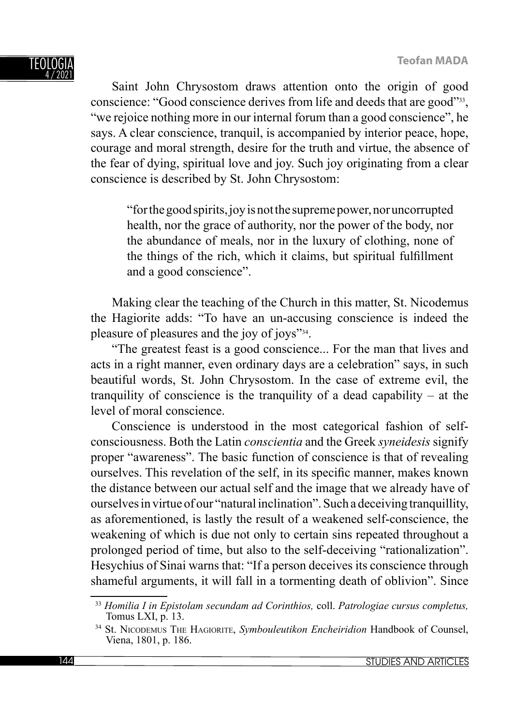Saint John Chrysostom draws attention onto the origin of good conscience: "Good conscience derives from life and deeds that are good"33, "we rejoice nothing more in our internal forum than a good conscience", he says. A clear conscience, tranquil, is accompanied by interior peace, hope, courage and moral strength, desire for the truth and virtue, the absence of the fear of dying, spiritual love and joy. Such joy originating from a clear conscience is described by St. John Chrysostom:

"for the good spirits, joy is not the supreme power, nor uncorrupted health, nor the grace of authority, nor the power of the body, nor the abundance of meals, nor in the luxury of clothing, none of the things of the rich, which it claims, but spiritual fulfillment and a good conscience".

Making clear the teaching of the Church in this matter, St. Nicodemus the Hagiorite adds: "To have an un-accusing conscience is indeed the pleasure of pleasures and the joy of joys"34.

"The greatest feast is a good conscience... For the man that lives and acts in a right manner, even ordinary days are a celebration" says, in such beautiful words, St. John Chrysostom. In the case of extreme evil, the tranquility of conscience is the tranquility of a dead capability – at the level of moral conscience.

Conscience is understood in the most categorical fashion of selfconsciousness. Both the Latin *conscientia* and the Greek *syneidesis* signify proper "awareness". The basic function of conscience is that of revealing ourselves. This revelation of the self, in its specific manner, makes known the distance between our actual self and the image that we already have of ourselves in virtue of our "natural inclination". Such a deceiving tranquillity, as aforementioned, is lastly the result of a weakened self-conscience, the weakening of which is due not only to certain sins repeated throughout a prolonged period of time, but also to the self-deceiving "rationalization". Hesychius of Sinai warns that: "If a person deceives its conscience through shameful arguments, it will fall in a tormenting death of oblivion". Since

<sup>33</sup> *Homilia I in Epistolam secundam ad Corinthios,* coll. *Patrologiae cursus completus,* Tomus LXI, p. 13.

<sup>34</sup> St. NICODEMUS THE HAGIORITE, *Symbouleutikon Encheiridion* Handbook of Counsel, Viena, 1801, p. 186.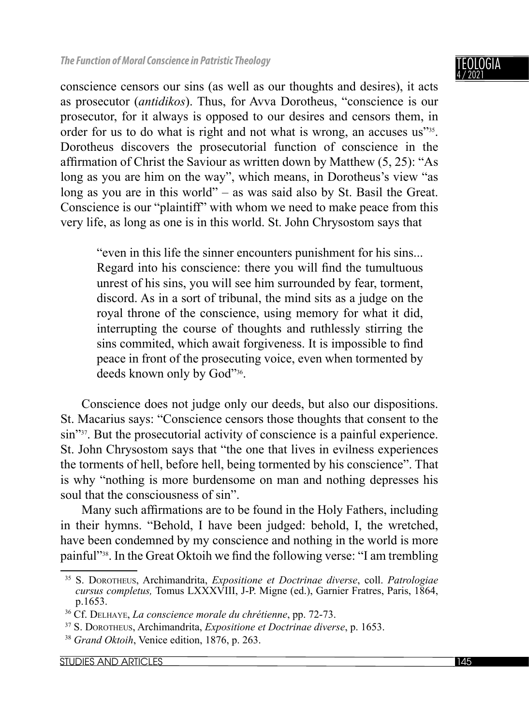conscience censors our sins (as well as our thoughts and desires), it acts as prosecutor (*antidikos*). Thus, for Avva Dorotheus, "conscience is our prosecutor, for it always is opposed to our desires and censors them, in order for us to do what is right and not what is wrong, an accuses us<sup>735</sup>. Dorotheus discovers the prosecutorial function of conscience in the affirmation of Christ the Saviour as written down by Matthew  $(5, 25)$ : "As long as you are him on the way", which means, in Dorotheus's view "as long as you are in this world" – as was said also by St. Basil the Great. Conscience is our "plaintiff" with whom we need to make peace from this very life, as long as one is in this world. St. John Chrysostom says that

"even in this life the sinner encounters punishment for his sins... Regard into his conscience: there you will find the tumultuous unrest of his sins, you will see him surrounded by fear, torment, discord. As in a sort of tribunal, the mind sits as a judge on the royal throne of the conscience, using memory for what it did, interrupting the course of thoughts and ruthlessly stirring the sins commited, which await forgiveness. It is impossible to find peace in front of the prosecuting voice, even when tormented by deeds known only by God"36.

Conscience does not judge only our deeds, but also our dispositions. St. Macarius says: "Conscience censors those thoughts that consent to the sin"<sup>37</sup>. But the prosecutorial activity of conscience is a painful experience. St. John Chrysostom says that "the one that lives in evilness experiences the torments of hell, before hell, being tormented by his conscience". That is why "nothing is more burdensome on man and nothing depresses his soul that the consciousness of sin".

Many such affirmations are to be found in the Holy Fathers, including in their hymns. "Behold, I have been judged: behold, I, the wretched, have been condemned by my conscience and nothing in the world is more painful"<sup>38</sup>. In the Great Oktoih we find the following verse: "I am trembling

<sup>35</sup> S. DOROTHEUS, Archimandrita, *Expositione et Doctrinae diverse*, coll. *Patrologiae cursus completus,* Tomus LXXXVIII, J-P. Migne (ed.), Garnier Fratres, Paris, 1864, p.1653.

<sup>36</sup> Cf. DELHAYE, *La conscience morale du chrétienne*, pp. 72-73.

<sup>37</sup> S. DOROTHEUS, Archimandrita, *Expositione et Doctrinae diverse*, p. 1653.

<sup>38</sup> *Grand Oktoih*, Venice edition, 1876, p. 263.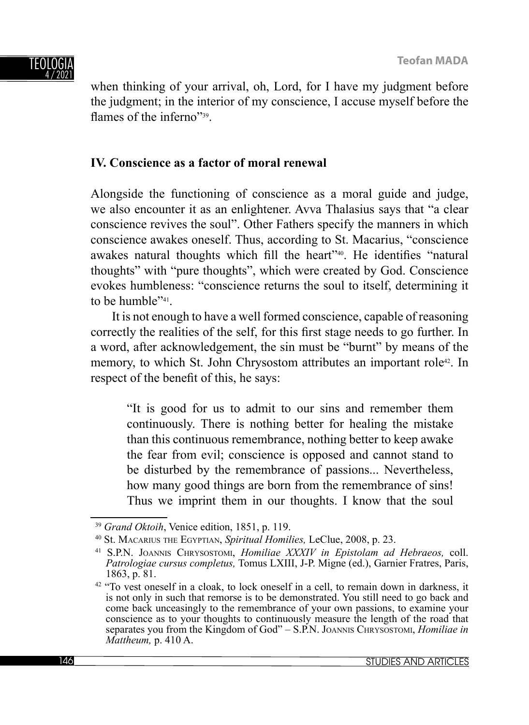when thinking of your arrival, oh, Lord, for I have my judgment before the judgment; in the interior of my conscience, I accuse myself before the flames of the inferno"<sup>39</sup>.

## **IV. Conscience as a factor of moral renewal**

Alongside the functioning of conscience as a moral guide and judge, we also encounter it as an enlightener. Avva Thalasius says that "a clear conscience revives the soul". Other Fathers specify the manners in which conscience awakes oneself. Thus, according to St. Macarius, "conscience awakes natural thoughts which fill the heart<sup>"40</sup>. He identifies "natural thoughts" with "pure thoughts", which were created by God. Conscience evokes humbleness: "conscience returns the soul to itself, determining it to be humble"<sup>41</sup>.

It is not enough to have a well formed conscience, capable of reasoning correctly the realities of the self, for this first stage needs to go further. In a word, after acknowledgement, the sin must be "burnt" by means of the memory, to which St. John Chrysostom attributes an important role42. In respect of the benefit of this, he says:

"It is good for us to admit to our sins and remember them continuously. There is nothing better for healing the mistake than this continuous remembrance, nothing better to keep awake the fear from evil; conscience is opposed and cannot stand to be disturbed by the remembrance of passions... Nevertheless, how many good things are born from the remembrance of sins! Thus we imprint them in our thoughts. I know that the soul

<sup>39</sup> *Grand Oktoih*, Venice edition, 1851, p. 119.

<sup>40</sup> St. MACARIUS THE EGYPTIAN, *Spiritual Homilies,* LeClue, 2008, p. 23.

<sup>41</sup> S.P.N. JOANNIS CHRYSOSTOMI, *Homiliae XXXIV in Epistolam ad Hebraeos,* coll. *Patrologiae cursus completus,* Tomus LXIII, J-P. Migne (ed.), Garnier Fratres, Paris, 1863, p. 81.

 $42$  "To vest oneself in a cloak, to lock oneself in a cell, to remain down in darkness, it is not only in such that remorse is to be demonstrated. You still need to go back and come back unceasingly to the remembrance of your own passions, to examine your conscience as to your thoughts to continuously measure the length of the road that separates you from the Kingdom of God" – S.P.N. JOANNIS CHRYSOSTOMI, *Homiliae in Mattheum,* p. 410 A.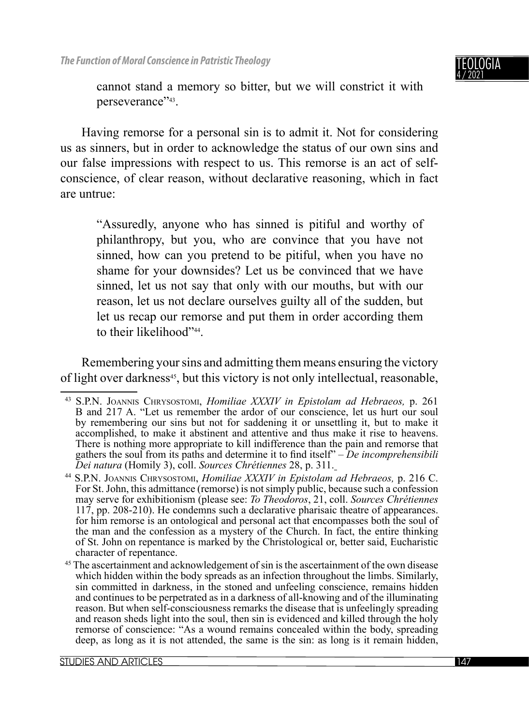

cannot stand a memory so bitter, but we will constrict it with perseverance"43.

Having remorse for a personal sin is to admit it. Not for considering us as sinners, but in order to acknowledge the status of our own sins and our false impressions with respect to us. This remorse is an act of selfconscience, of clear reason, without declarative reasoning, which in fact are untrue:

"Assuredly, anyone who has sinned is pitiful and worthy of philanthropy, but you, who are convince that you have not sinned, how can you pretend to be pitiful, when you have no shame for your downsides? Let us be convinced that we have sinned, let us not say that only with our mouths, but with our reason, let us not declare ourselves guilty all of the sudden, but let us recap our remorse and put them in order according them to their likelihood"44.

Remembering your sins and admitting them means ensuring the victory of light over darkness<sup>45</sup>, but this victory is not only intellectual, reasonable,

<sup>43</sup> S.P.N. JOANNIS CHRYSOSTOMI, *Homiliae XXXIV in Epistolam ad Hebraeos,* p. 261 B and 217 A. "Let us remember the ardor of our conscience, let us hurt our soul by remembering our sins but not for saddening it or unsettling it, but to make it accomplished, to make it abstinent and attentive and thus make it rise to heavens. There is nothing more appropriate to kill indifference than the pain and remorse that gathers the soul from its paths and determine it to find itself" – *De incomprehensibili Dei natura* (Homily 3), coll. *Sources Chrétiennes* 28, p. 311.

<sup>&</sup>lt;sup>44</sup> S.P.N. JOANNIS CHRYSOSTOMI, *Homiliae XXXIV in Epistolam ad Hebraeos*, p. 216 C. For St. John, this admittance (remorse) is not simply public, because such a confession may serve for exhibitionism (please see: *To Theodoros*, 21, coll. *Sources Chrétiennes* 117, pp. 208-210). He condemns such a declarative pharisaic theatre of appearances. for him remorse is an ontological and personal act that encompasses both the soul of the man and the confession as a mystery of the Church. In fact, the entire thinking of St. John on repentance is marked by the Christological or, better said, Eucharistic

<sup>&</sup>lt;sup>45</sup> The ascertainment and acknowledgement of sin is the ascertainment of the own disease which hidden within the body spreads as an infection throughout the limbs. Similarly, sin committed in darkness, in the stoned and unfeeling conscience, remains hidden and continues to be perpetrated as in a darkness of all-knowing and of the illuminating reason. But when self-consciousness remarks the disease that is unfeelingly spreading and reason sheds light into the soul, then sin is evidenced and killed through the holy remorse of conscience: "As a wound remains concealed within the body, spreading deep, as long as it is not attended, the same is the sin: as long is it remain hidden,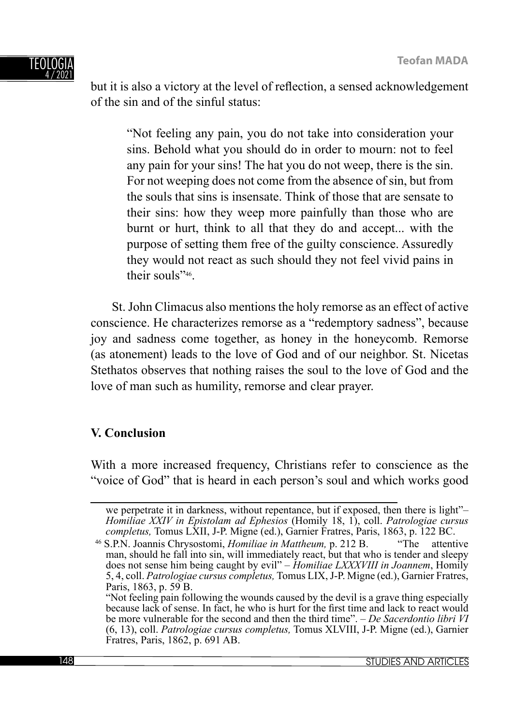#### TEOLOGI 4 / 2021

but it is also a victory at the level of reflection, a sensed acknowledgement of the sin and of the sinful status:

"Not feeling any pain, you do not take into consideration your sins. Behold what you should do in order to mourn: not to feel any pain for your sins! The hat you do not weep, there is the sin. For not weeping does not come from the absence of sin, but from the souls that sins is insensate. Think of those that are sensate to their sins: how they weep more painfully than those who are burnt or hurt, think to all that they do and accept... with the purpose of setting them free of the guilty conscience. Assuredly they would not react as such should they not feel vivid pains in their souls"46.

St. John Climacus also mentions the holy remorse as an effect of active conscience. He characterizes remorse as a "redemptory sadness", because joy and sadness come together, as honey in the honeycomb. Remorse (as atonement) leads to the love of God and of our neighbor. St. Nicetas Stethatos observes that nothing raises the soul to the love of God and the love of man such as humility, remorse and clear prayer.

## **V. Conclusion**

With a more increased frequency, Christians refer to conscience as the "voice of God" that is heard in each person's soul and which works good

we perpetrate it in darkness, without repentance, but if exposed, then there is light"– *Homiliae XXIV in Epistolam ad Ephesios* (Homily 18, 1), coll. *Patrologiae cursus completus,* Tomus LXII, J-P. Migne (ed.), Garnier Fratres, Paris, 1863, p. 122 BC.

<sup>46</sup> S.P.N. Joannis Chrysostomi, *Homiliae in Mattheum,* p. 212 B. "The attentive man, should he fall into sin, will immediately react, but that who is tender and sleepy does not sense him being caught by evil" – *Homiliae LXXXVIII in Joannem*, Homily 5, 4, coll. *Patrologiae cursus completus,* Tomus LIX, J-P. Migne (ed.), Garnier Fratres, Paris, 1863, p. 59 B.

 <sup>&</sup>quot;Not feeling pain following the wounds caused by the devil is a grave thing especially because lack of sense. In fact, he who is hurt for the first time and lack to react would be more vulnerable for the second and then the third time". – *De Sacerdontio libri VI* (6, 13), coll. *Patrologiae cursus completus,* Tomus XLVIII, J-P. Migne (ed.), Garnier Fratres, Paris, 1862, p. 691 AB.